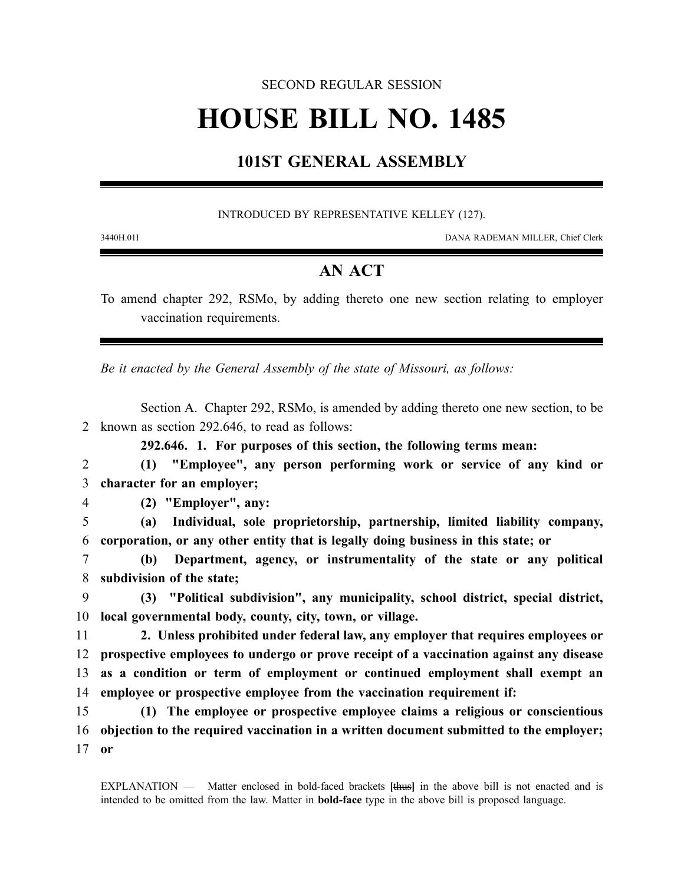#### SECOND REGULAR SESSION

# **HOUSE BILL NO. 1485**

## **101ST GENERAL ASSEMBLY**

#### INTRODUCED BY REPRESENTATIVE KELLEY (127).

3440H.01I DANA RADEMAN MILLER, Chief Clerk

### **AN ACT**

To amend chapter 292, RSMo, by adding thereto one new section relating to employer vaccination requirements.

*Be it enacted by the General Assembly of the state of Missouri, as follows:*

Section A. Chapter 292, RSMo, is amended by adding thereto one new section, to be 2 known as section 292.646, to read as follows:

**292.646. 1. For purposes of this section, the following terms mean:**

2 **(1) "Employee", any person performing work or service of any kind or** 3 **character for an employer;**

4 **(2) "Employer", any:**

5 **(a) Individual, sole proprietorship, partnership, limited liability company,** 6 **corporation, or any other entity that is legally doing business in this state; or**

7 **(b) Department, agency, or instrumentality of the state or any political** 8 **subdivision of the state;**

9 **(3) "Political subdivision", any municipality, school district, special district,** 10 **local governmental body, county, city, town, or village.**

 **2. Unless prohibited under federal law, any employer that requires employees or prospective employees to undergo or prove receipt of a vaccination against any disease as a condition or term of employment or continued employment shall exempt an employee or prospective employee from the vaccination requirement if:**

15 **(1) The employee or prospective employee claims a religious or conscientious** 16 **objection to the required vaccination in a written document submitted to the employer;** 17 **or**

EXPLANATION — Matter enclosed in bold-faced brackets **[**thus**]** in the above bill is not enacted and is intended to be omitted from the law. Matter in **bold-face** type in the above bill is proposed language.